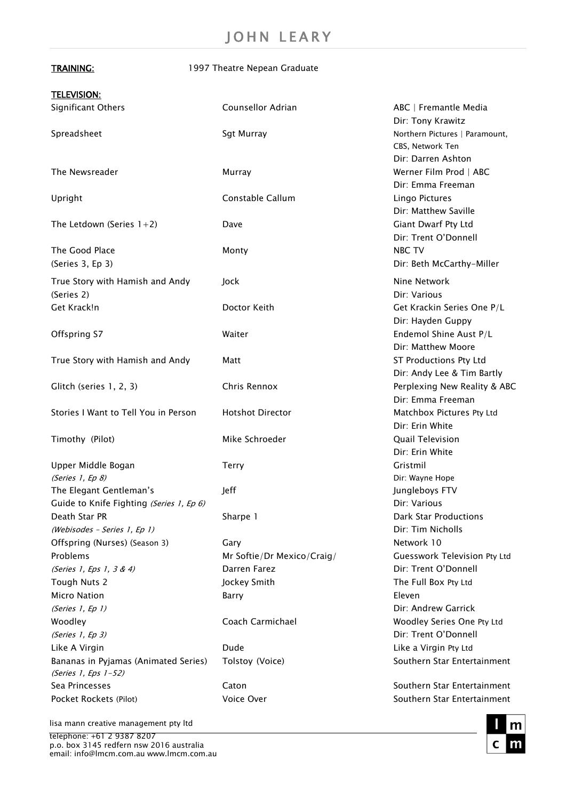### TRAINING: 1997 Theatre Nepean Graduate

| <b>TELEVISION:</b>                                           |                            |                                                                          |
|--------------------------------------------------------------|----------------------------|--------------------------------------------------------------------------|
| Significant Others                                           | Counsellor Adrian          | ABC   Fremantle Media<br>Dir: Tony Krawitz                               |
| Spreadsheet                                                  | Sgt Murray                 | Northern Pictures   Paramount,<br>CBS, Network Ten<br>Dir: Darren Ashton |
| The Newsreader                                               | Murray                     | Werner Film Prod   ABC<br>Dir: Emma Freeman                              |
| Upright                                                      | Constable Callum           | Lingo Pictures<br>Dir: Matthew Saville                                   |
| The Letdown (Series $1+2$ )                                  | Dave                       | Giant Dwarf Pty Ltd<br>Dir: Trent O'Donnell                              |
| The Good Place<br>(Series 3, Ep 3)                           | Monty                      | <b>NBC TV</b><br>Dir: Beth McCarthy-Miller                               |
| True Story with Hamish and Andy                              | Jock                       | Nine Network                                                             |
| (Series 2)<br>Get Krack!n                                    | Doctor Keith               | Dir: Various<br>Get Krackin Series One P/L<br>Dir: Hayden Guppy          |
| Offspring S7                                                 | Waiter                     | Endemol Shine Aust P/L<br>Dir: Matthew Moore                             |
| True Story with Hamish and Andy                              | Matt                       | ST Productions Pty Ltd<br>Dir: Andy Lee & Tim Bartly                     |
| Glitch (series 1, 2, 3)                                      | Chris Rennox               | Perplexing New Reality & ABC<br>Dir: Emma Freeman                        |
| Stories I Want to Tell You in Person                         | <b>Hotshot Director</b>    | Matchbox Pictures Pty Ltd<br>Dir: Erin White                             |
| Timothy (Pilot)                                              | Mike Schroeder             | Quail Television<br>Dir: Erin White                                      |
| Upper Middle Bogan<br>(Series 1, Ep 8)                       | <b>Terry</b>               | Gristmil<br>Dir: Wayne Hope                                              |
| The Elegant Gentleman's                                      | Jeff                       | Jungleboys FTV                                                           |
| Guide to Knife Fighting (Series 1, Ep 6)                     |                            | Dir: Various                                                             |
| Death Star PR                                                | Sharpe 1                   | Dark Star Productions                                                    |
| (Webisodes - Series 1, Ep 1)                                 |                            | Dir: Tim Nicholls                                                        |
| Offspring (Nurses) (Season 3)                                | Gary                       | Network 10                                                               |
| Problems                                                     | Mr Softie/Dr Mexico/Craig/ | Guesswork Television Pty Ltd                                             |
| (Series 1, Eps 1, 3 & 4)                                     | Darren Farez               | Dir: Trent O'Donnell                                                     |
| Tough Nuts 2                                                 | Jockey Smith               | The Full Box Pty Ltd                                                     |
| <b>Micro Nation</b>                                          | Barry                      | Eleven                                                                   |
| (Series 1, Ep 1)                                             |                            | Dir: Andrew Garrick                                                      |
| Woodley                                                      | Coach Carmichael           | Woodley Series One Pty Ltd                                               |
| (Series 1, Ep 3)                                             |                            | Dir: Trent O'Donnell                                                     |
| Like A Virgin                                                | Dude                       | Like a Virgin Pty Ltd                                                    |
| Bananas in Pyjamas (Animated Series)<br>(Series 1, Eps 1-52) | Tolstoy (Voice)            | Southern Star Entertainment                                              |
| Sea Princesses                                               | Caton                      | Southern Star Entertainment                                              |
| Pocket Rockets (Pilot)                                       | Voice Over                 | Southern Star Entertainment                                              |

lisa mann creative management pty ltd

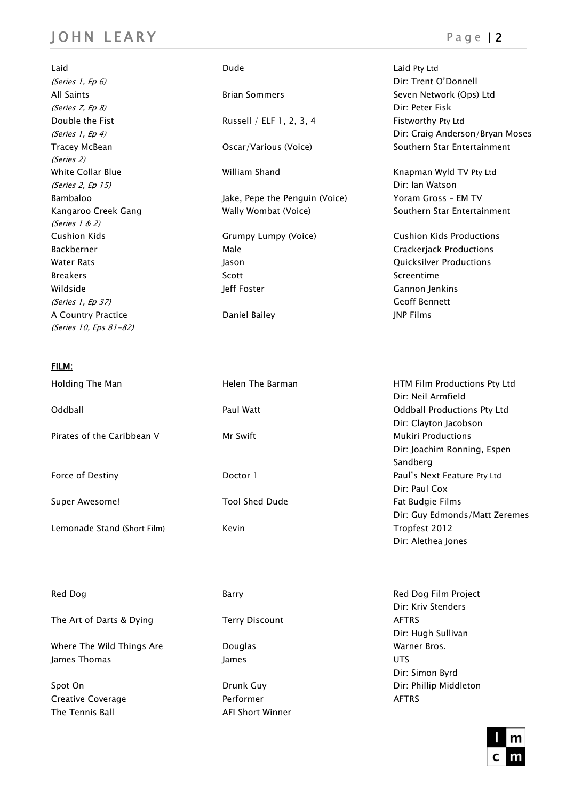# J OHN LEARY Page | 2

(Series 2) (Series 1 & 2) (Series 1, Ep 37) Geoff Bennett A Country Practice **Country Practice Country Practice JNP Films** Daniel Bailey **JNP Films** (Series 10, Eps 81-82)

FILM:

Laid Dude Laid Pty Ltd (Series 1, Ep 6) Dir: Trent O'Donnell All Saints **Brian Sommers** Seven Network (Ops) Ltd (Series 7, Ep 8) Dir: Peter Fisk Double the Fist **EXECUTE:** Russell / ELF 1, 2, 3, 4 Fistworthy Pty Ltd Tracey McBean **Communist Constructs** Oscar/Various (Voice) **Southern Star Entertainment** White Collar Blue **William Shand** Mulliam Shand Knapman Wyld TV Pty Ltd (Series 2, Ep 15) Dir: Ian Watson Bambaloo Jake, Pepe the Penguin (Voice) Yoram Gross - EM TV Cushion Kids Grumpy Lumpy (Voice) Cushion Kids Productions Backberner The Cracker Male Crackeriack Productions Crackeriack Productions Water Rats **Mater Rats Jason** Jason **Constanting Constanting Constanting Constanting Constanting Outer Productions** Breakers Scott Screentime Scott Screentime Screentime Screentime Screentime Screentime Screentime Wildside Sammer Jeff Foster Cannon Jenkins Cannon Jenkins

(Series 1, Ep 4) Dir: Craig Anderson/Bryan Moses

Kangaroo Creek Gang The Wally Wombat (Voice) Southern Star Entertainment

| Holding The Man             | Helen The Barman      | HTM Film Productions Pty Ltd       |
|-----------------------------|-----------------------|------------------------------------|
|                             |                       | Dir: Neil Armfield                 |
| Oddball                     | Paul Watt             | <b>Oddball Productions Pty Ltd</b> |
|                             |                       | Dir: Clayton Jacobson              |
| Pirates of the Caribbean V  | Mr Swift              | <b>Mukiri Productions</b>          |
|                             |                       | Dir: Joachim Ronning, Espen        |
|                             |                       | Sandberg                           |
| Force of Destiny            | Doctor 1              | Paul's Next Feature Pty Ltd        |
|                             |                       | Dir: Paul Cox                      |
| Super Awesome!              | <b>Tool Shed Dude</b> | Fat Budgie Films                   |
|                             |                       | Dir: Guy Edmonds/Matt Zeremes      |
| Lemonade Stand (Short Film) | Kevin                 | Tropfest 2012                      |
|                             |                       | Dir: Alethea Jones                 |
|                             |                       |                                    |

Red Dog **Barry Barry Red Dog Film Project** Red Dog Film Project Dir: Kriv Stenders The Art of Darts & Dying Terry Discount Terry Discount AFTRS Dir: Hugh Sullivan Where The Wild Things Are **South Congress Congress** Douglas Warner Bros. James Thomas James UTS Dir: Simon Byrd Spot On **Drunk Guy Direct Connect Act On Direct** Direct Direct Direct Direct Direct Direct Direct Direct Direct D Creative Coverage **Performer** Performer AFTRS The Tennis Ball **AFI Short Winner** 

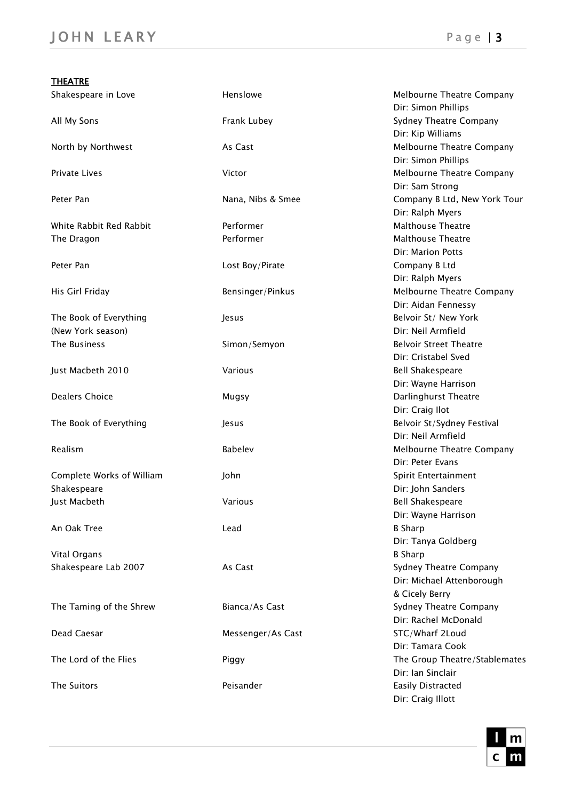#### **THEATRE**

|                         |                   | $\sim$ $\sim$ $\sim$ $\sim$  |
|-------------------------|-------------------|------------------------------|
|                         |                   |                              |
| <b>THEATRE</b>          |                   |                              |
| Shakespeare in Love     | <b>Henslowe</b>   | Melbourne Theatre Company    |
|                         |                   | Dir: Simon Phillips          |
| All My Sons             | Frank Lubey       | Sydney Theatre Company       |
|                         |                   | Dir: Kip Williams            |
| North by Northwest      | As Cast           | Melbourne Theatre Company    |
|                         |                   | Dir: Simon Phillips          |
| Private Lives           | Victor            | Melbourne Theatre Company    |
|                         |                   | Dir: Sam Strong              |
| Peter Pan               | Nana, Nibs & Smee | Company B Ltd, New York Tour |
|                         |                   | Dir: Ralph Myers             |
| White Rabbit Red Rabbit | Performer         | <b>Malthouse Theatre</b>     |
| The Dragon              | Performer         | Malthouse Theatre            |

Dir: Marion Potts

Dir: Ralph Myers

Dir: Aidan Fennessy

Dir: Cristabel Sved

Dir: Wayne Harrison

Dir: Craig Ilot

Dir: Neil Armfield

Dir: Peter Evans

Dir: Wayne Harrison

Dir: Tanya Goldberg

& Cicely Berry

Dir: Michael Attenborough

Dir: Rachel McDonald

Dir: Tamara Cook

Dir: Ian Sinclair

Dir: Craig Illott

His Girl Friday **Bensinger/Pinkus** Melbourne Theatre Company

Peter Pan **Peter Pan** Lost Boy/Pirate Company B Ltd

The Business The Business Simon/Semyon Semble Belvoir Street Theatre

Realism **Babelev** Babelev **Babelev** Melbourne Theatre Company

The Book of Everything The Book of Everything Jesus Jesus Belvoir St / New York

(New York season) Dir: Neil Armfield

Just Macbeth 2010 Various Bell Shakespeare

**Dealers Choice Community Choice** Mugsy Mugsy Darlinghurst Theatre

The Book of Everything The Book of Everything Jesus Jesus Belvoir St/Sydney Festival

Complete Works of William Spirit Entertainment Shakespeare Dir: John Sanders Just Macbeth Various Bell Shakespeare

An Oak Tree **Lead** Lead **B Sharp** 

Vital Organs B Sharp Communication of the Sharp Communication of the Sharp B Sharp B Sharp Communication of the Sharp Communication of the Sharp Communication of the Sharp Communication of the Sharp Communication of the Sh Shakespeare Lab 2007 **As Cast** Assessment Company Assessment Company Sydney Theatre Company

The Taming of the Shrew **Bianca/As Cast** Sydney Theatre Company Dead Caesar Messenger/As Cast STC/Wharf 2Loud The Lord of the Flies **Piggy** Piggy The Group Theatre/Stablemates

The Suitors **Peisander** Peisander **Easily Distracted** Easily Distracted